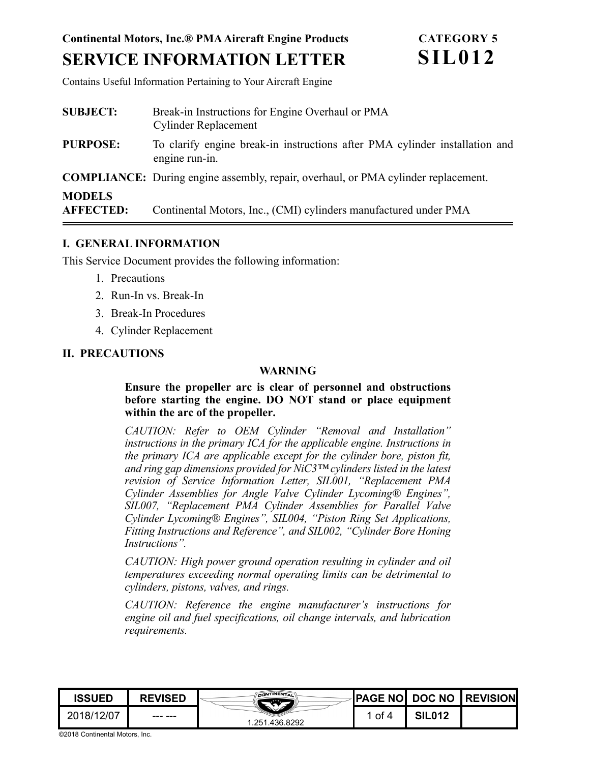# **Continental Motors, Inc.® PMA Aircraft Engine Products SERVICE INFORMATION LETTER**

Contains Useful Information Pertaining to Your Aircraft Engine

| <b>SUBJECT:</b>                   | Break-in Instructions for Engine Overhaul or PMA<br><b>Cylinder Replacement</b>               |  |  |  |
|-----------------------------------|-----------------------------------------------------------------------------------------------|--|--|--|
| <b>PURPOSE:</b>                   | To clarify engine break-in instructions after PMA cylinder installation and<br>engine run-in. |  |  |  |
|                                   | <b>COMPLIANCE:</b> During engine assembly, repair, overhaul, or PMA cylinder replacement.     |  |  |  |
| <b>MODELS</b><br><b>AFFECTED:</b> | Continental Motors, Inc., (CMI) cylinders manufactured under PMA                              |  |  |  |

#### **I. GENERAL INFORMATION**

This Service Document provides the following information:

- 1. Precautions
- 2. Run-In vs. Break-In
- 3. Break-In Procedures
- 4. Cylinder Replacement

## <span id="page-0-0"></span>**II. PRECAUTIONS**

#### **WARNING**

**Ensure the propeller arc is clear of personnel and obstructions before starting the engine. DO NOT stand or place equipment within the arc of the propeller.** 

*CAUTION: Refer to OEM Cylinder "Removal and Installation" instructions in the primary ICA for the applicable engine. Instructions in the primary ICA are applicable except for the cylinder bore, piston fit, and ring gap dimensions provided for NiC3™ cylinders listed in the latest revision of Service Information Letter, SIL001, "Replacement PMA Cylinder Assemblies for Angle Valve Cylinder Lycoming® Engines", SIL007, "Replacement PMA Cylinder Assemblies for Parallel Valve Cylinder Lycoming® Engines", SIL004, "Piston Ring Set Applications, Fitting Instructions and Reference", and SIL002, "Cylinder Bore Honing Instructions".*

*CAUTION: High power ground operation resulting in cylinder and oil temperatures exceeding normal operating limits can be detrimental to cylinders, pistons, valves, and rings.* 

*CAUTION: Reference the engine manufacturer's instructions for engine oil and fuel specifications, oil change intervals, and lubrication requirements.*



©2018 Continental Motors, Inc.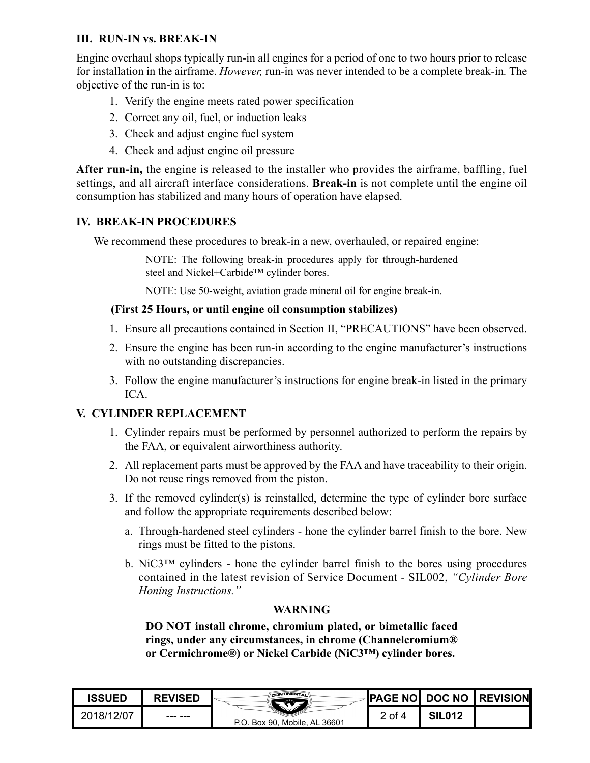## **III. RUN-IN vs. BREAK-IN**

Engine overhaul shops typically run-in all engines for a period of one to two hours prior to release for installation in the airframe. *However,* run-in was never intended to be a complete break-in*.* The objective of the run-in is to:

- 1. Verify the engine meets rated power specification
- 2. Correct any oil, fuel, or induction leaks
- 3. Check and adjust engine fuel system
- 4. Check and adjust engine oil pressure

**After run-in,** the engine is released to the installer who provides the airframe, baffling, fuel settings, and all aircraft interface considerations. **Break-in** is not complete until the engine oil consumption has stabilized and many hours of operation have elapsed.

## **IV. BREAK-IN PROCEDURES**

We recommend these procedures to break-in a new, overhauled, or repaired engine:

NOTE: The following break-in procedures apply for through-hardened steel and Nickel+Carbide™ cylinder bores.

NOTE: Use 50-weight, aviation grade mineral oil for engine break-in.

## **(First 25 Hours, or until engine oil consumption stabilizes)**

- 1. Ensure all precautions contained in [Section II, "PRECAUTIONS"](#page-0-0) have been observed.
- 2. Ensure the engine has been run-in according to the engine manufacturer's instructions with no outstanding discrepancies.
- 3. Follow the engine manufacturer's instructions for engine break-in listed in the primary ICA.

# **V. CYLINDER REPLACEMENT**

- 1. Cylinder repairs must be performed by personnel authorized to perform the repairs by the FAA, or equivalent airworthiness authority.
- 2. All replacement parts must be approved by the FAA and have traceability to their origin. Do not reuse rings removed from the piston.
- 3. If the removed cylinder(s) is reinstalled, determine the type of cylinder bore surface and follow the appropriate requirements described below:
	- a. Through-hardened steel cylinders hone the cylinder barrel finish to the bore. New rings must be fitted to the pistons.
	- b.  $NiC3<sup>TM</sup>$  cylinders hone the cylinder barrel finish to the bores using procedures contained in the latest revision of Service Document - SIL002, *"Cylinder Bore Honing Instructions."*

# **WARNING**

**DO NOT install chrome, chromium plated, or bimetallic faced rings, under any circumstances, in chrome (Channelcromium® or Cermichrome®) or Nickel Carbide (NiC3™) cylinder bores.** 

| <b>ISSUED</b> | <b>REVISED</b> | CONTINENTAL                   |      |               | ∤PAGE NO∐DOC NO ∐REVISION |
|---------------|----------------|-------------------------------|------|---------------|---------------------------|
| 2018/12/07    |                | P.O. Box 90, Mobile, AL 36601 | of 4 | <b>SIL012</b> |                           |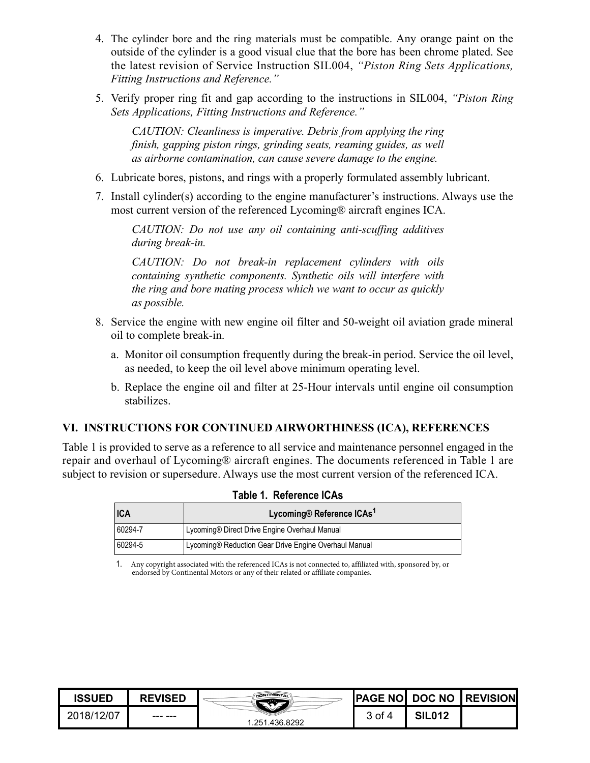- 4. The cylinder bore and the ring materials must be compatible. Any orange paint on the outside of the cylinder is a good visual clue that the bore has been chrome plated. See the latest revision of Service Instruction SIL004, *"Piston Ring Sets Applications, Fitting Instructions and Reference."*
- 5. Verify proper ring fit and gap according to the instructions in SIL004, *"Piston Ring Sets Applications, Fitting Instructions and Reference."*

*CAUTION: Cleanliness is imperative. Debris from applying the ring finish, gapping piston rings, grinding seats, reaming guides, as well as airborne contamination, can cause severe damage to the engine.* 

- 6. Lubricate bores, pistons, and rings with a properly formulated assembly lubricant.
- 7. Install cylinder(s) according to the engine manufacturer's instructions. Always use the most current version of the referenced Lycoming® aircraft engines ICA.

*CAUTION: Do not use any oil containing anti-scuffing additives during break-in.*

*CAUTION: Do not break-in replacement cylinders with oils containing synthetic components. Synthetic oils will interfere with the ring and bore mating process which we want to occur as quickly as possible.*

- 8. Service the engine with new engine oil filter and 50-weight oil aviation grade mineral oil to complete break-in.
	- a. Monitor oil consumption frequently during the break-in period. Service the oil level, as needed, to keep the oil level above minimum operating level.
	- b. Replace the engine oil and filter at 25-Hour intervals until engine oil consumption stabilizes.

## **VI. INSTRUCTIONS FOR CONTINUED AIRWORTHINESS (ICA), REFERENCES**

Table 1 is provided to serve as a reference to all service and maintenance personnel engaged in the repair and overhaul of Lycoming® aircraft engines. The documents referenced in Table 1 are subject to revision or supersedure. Always use the most current version of the referenced ICA.

| <b>ICA</b> | Lycoming® Reference ICAs <sup>1</sup>                 |  |  |
|------------|-------------------------------------------------------|--|--|
| 60294-7    | Lycoming® Direct Drive Engine Overhaul Manual         |  |  |
| 60294-5    | Lycoming® Reduction Gear Drive Engine Overhaul Manual |  |  |

|  | <b>Table 1. Reference ICAs</b> |  |
|--|--------------------------------|--|
|--|--------------------------------|--|

1. Any copyright associated with the referenced ICAs is not connected to, affiliated with, sponsored by, or endorsed by Continental Motors or any of their related or affiliate companies.

| ISSUED     | <b>REVISED</b> | CONTINENTAL<br>.<br>.436.8292<br>.251 |        |               | <b>PAGE NOI DOC NO REVISION</b> |
|------------|----------------|---------------------------------------|--------|---------------|---------------------------------|
| 2018/12/07 | --- ---        |                                       | კ of 4 | <b>SIL012</b> |                                 |